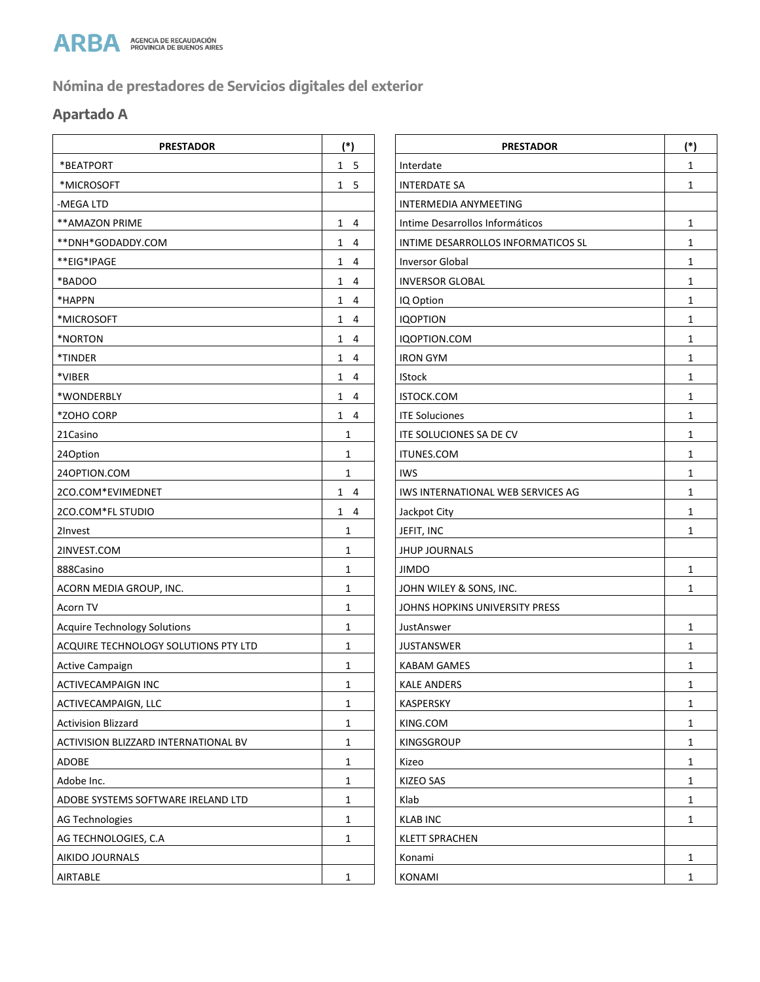

# **Nómina de prestadores de Servicios digitales del exterior**

## **Apartado A**

| <b>PRESTADOR</b>                     | $(*)$                          | <b>PRESTADOR</b>                   | (              |
|--------------------------------------|--------------------------------|------------------------------------|----------------|
| *BEATPORT                            | 1 <sub>5</sub>                 | Interdate                          | $\mathbf{1}$   |
| *MICROSOFT                           | 1 <sub>5</sub>                 | <b>INTERDATE SA</b>                | $\mathbf 1$    |
| -MEGA LTD                            |                                | <b>INTERMEDIA ANYMEETING</b>       |                |
| ** AMAZON PRIME                      | $1 \quad 4$                    | Intime Desarrollos Informáticos    | $\mathbf{1}$   |
| **DNH*GODADDY.COM                    | $\mathbf{1}$<br>$\overline{4}$ | INTIME DESARROLLOS INFORMATICOS SL | $\mathbf 1$    |
| **EIG*IPAGE                          | $\mathbf{1}$<br>-4             | <b>Inversor Global</b>             | $\mathbf{1}$   |
| *BADOO                               | $1 \quad 4$                    | <b>INVERSOR GLOBAL</b>             | $\mathbf{1}$   |
| *HAPPN                               | $\mathbf{1}$<br>$\overline{4}$ | IQ Option                          | $\mathbf{1}$   |
| *MICROSOFT                           | 1<br>4                         | <b>IQOPTION</b>                    | $\mathbf{1}$   |
| *NORTON                              | $\mathbf{1}$<br>$\overline{4}$ | IQOPTION.COM                       | $\mathbf{1}$   |
| *TINDER                              | 1<br>4                         | <b>IRON GYM</b>                    | $\mathbf{1}$   |
| *VIBER                               | $\mathbf{1}$<br>-4             | <b>IStock</b>                      | $\mathbf{1}$   |
| *WONDERBLY                           | $1 \quad 4$                    | ISTOCK.COM                         | $\mathbf{1}$   |
| *ZOHO CORP                           | $1 \quad 4$                    | <b>ITE Soluciones</b>              | $\mathbf{1}$   |
| 21Casino                             | 1                              | ITE SOLUCIONES SA DE CV            | $\mathbf 1$    |
| 24Option                             | 1                              | ITUNES.COM                         | $\mathbf{1}$   |
| 240PTION.COM                         | 1                              | <b>IWS</b>                         | $\mathbf{1}$   |
| 2CO.COM*EVIMEDNET                    | $1 \quad 4$                    | IWS INTERNATIONAL WEB SERVICES AG  | $\mathbf{1}$   |
| 2CO.COM*FL STUDIO                    | $1 \quad 4$                    | Jackpot City                       | $\mathbf{1}$   |
| 2Invest                              | 1                              | JEFIT, INC                         | $\mathbf{1}$   |
| 2INVEST.COM                          | 1                              | <b>JHUP JOURNALS</b>               |                |
| 888Casino                            | $\mathbf{1}$                   | <b>JIMDO</b>                       | $\mathbf 1$    |
| ACORN MEDIA GROUP, INC.              | 1                              | JOHN WILEY & SONS, INC.            | $\mathbf{1}$   |
| Acorn TV                             | 1                              | JOHNS HOPKINS UNIVERSITY PRESS     |                |
| <b>Acquire Technology Solutions</b>  | 1                              | JustAnswer                         | $\mathbf{1}$   |
| ACQUIRE TECHNOLOGY SOLUTIONS PTY LTD | 1                              | <b>JUSTANSWER</b>                  | $\overline{1}$ |
| Active Campaign                      | 1                              | <b>KABAM GAMES</b>                 | $\mathbf{1}$   |
| <b>ACTIVECAMPAIGN INC</b>            | 1                              | <b>KALE ANDERS</b>                 | $\mathbf{1}$   |
| ACTIVECAMPAIGN, LLC                  | 1                              | <b>KASPERSKY</b>                   | $\mathbf{1}$   |
| <b>Activision Blizzard</b>           | 1                              | KING.COM                           | $\mathbf{1}$   |
| ACTIVISION BLIZZARD INTERNATIONAL BV | $\mathbf{1}$                   | <b>KINGSGROUP</b>                  | $\mathbf{1}$   |
| ADOBE                                | $\mathbf{1}$                   | Kizeo                              | $\mathbf{1}$   |
| Adobe Inc.                           | $\mathbf{1}$                   | <b>KIZEO SAS</b>                   | $\mathbf 1$    |
| ADOBE SYSTEMS SOFTWARE IRELAND LTD   | $\mathbf{1}$                   | Klab                               | $\mathbf 1$    |
| AG Technologies                      | 1                              | <b>KLAB INC</b>                    | $\mathbf{1}$   |
| AG TECHNOLOGIES, C.A                 | 1                              | <b>KLETT SPRACHEN</b>              |                |
| AIKIDO JOURNALS                      |                                | Konami                             | $\mathbf{1}$   |
| AIRTABLE                             | $\mathbf{1}$                   | KONAMI                             | $\mathbf{1}$   |

| <b>PRESTADOR</b>        | $(*)$                          | <b>PRESTADOR</b>                   | $(*)$        |
|-------------------------|--------------------------------|------------------------------------|--------------|
|                         | 1 <sub>5</sub>                 | Interdate                          | $\mathbf{1}$ |
|                         | 1 <sub>5</sub>                 | <b>INTERDATE SA</b>                | 1            |
|                         |                                | INTERMEDIA ANYMEETING              |              |
|                         | $1 \quad 4$                    | Intime Desarrollos Informáticos    | 1            |
| M                       | $1 \quad 4$                    | INTIME DESARROLLOS INFORMATICOS SL | 1            |
|                         | $1 \quad 4$                    | <b>Inversor Global</b>             | 1            |
|                         | $1 \quad 4$                    | <b>INVERSOR GLOBAL</b>             | $\mathbf{1}$ |
|                         | $1 \quad 4$                    | IQ Option                          | $\mathbf{1}$ |
|                         | $1 \quad 4$                    | <b>IQOPTION</b>                    | 1            |
|                         | $\overline{4}$<br>$\mathbf{1}$ | IQOPTION.COM                       | 1            |
|                         | $1 \quad 4$                    | <b>IRON GYM</b>                    | 1            |
|                         | $1 \quad 4$                    | <b>IStock</b>                      | 1            |
|                         | $1 \quad 4$                    | ISTOCK.COM                         | $\mathbf{1}$ |
|                         | $1 \quad 4$                    | <b>ITE Soluciones</b>              | $\mathbf{1}$ |
|                         | 1                              | ITE SOLUCIONES SA DE CV            | $\mathbf{1}$ |
|                         | $\mathbf{1}$                   | ITUNES.COM                         | 1            |
|                         | $\mathbf{1}$                   | <b>IWS</b>                         | 1            |
|                         | $1 \quad 4$                    | IWS INTERNATIONAL WEB SERVICES AG  | $\mathbf{1}$ |
|                         | $1 \quad 4$                    | Jackpot City                       | $\mathbf{1}$ |
|                         | $\mathbf{1}$                   | JEFIT, INC                         | $\mathbf{1}$ |
|                         | $\mathbf{1}$                   | <b>JHUP JOURNALS</b>               |              |
|                         | 1                              | <b>JIMDO</b>                       | 1            |
| , INC.                  | $\mathbf{1}$                   | JOHN WILEY & SONS, INC.            | $\mathbf{1}$ |
|                         | $\mathbf{1}$                   | JOHNS HOPKINS UNIVERSITY PRESS     |              |
| lutions                 | $\mathbf{1}$                   | JustAnswer                         | 1            |
| Y SOLUTIONS PTY LTD     | $\mathbf{1}$                   | <b>JUSTANSWER</b>                  | $\mathbf{1}$ |
|                         | 1                              | <b>KABAM GAMES</b>                 | 1            |
|                         | 1                              | <b>KALE ANDERS</b>                 | 1            |
|                         | 1                              | KASPERSKY                          | $\mathbf{1}$ |
|                         | $\mathbf{1}$                   | KING.COM                           | $\mathbf{1}$ |
| <b>INTERNATIONAL BV</b> | $\mathbf{1}$                   | <b>KINGSGROUP</b>                  | $\mathbf{1}$ |
|                         | $\mathbf{1}$                   | Kizeo                              | $\mathbf{1}$ |
|                         | 1                              | <b>KIZEO SAS</b>                   | $\mathbf{1}$ |
| WARE IRELAND LTD        | 1                              | Klab                               | 1            |
|                         | 1                              | <b>KLAB INC</b>                    | $\mathbf{1}$ |
| A                       | $\mathbf{1}$                   | <b>KLETT SPRACHEN</b>              |              |
|                         |                                | Konami                             | $\mathbf{1}$ |
|                         | $\mathbf{1}$                   | KONAMI                             | $\mathbf{1}$ |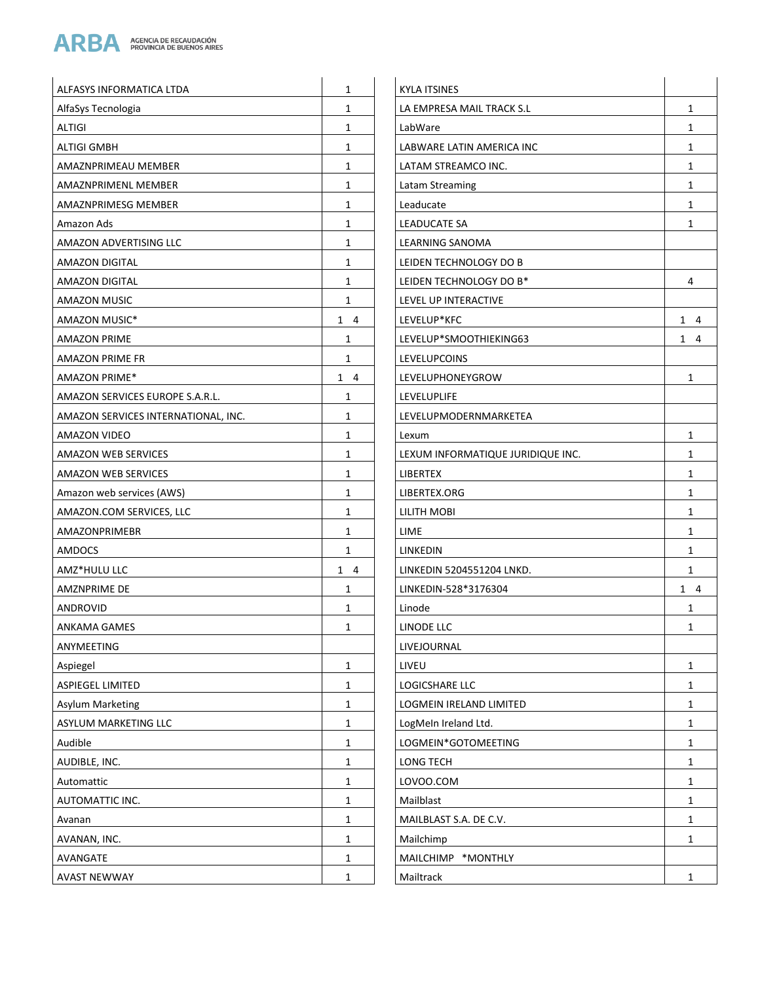

| AlfaSys Tecnologia<br>$\mathbf{1}$<br>LA EMPRESA MAIL TRACK S.L<br><b>ALTIGI</b><br>$\mathbf{1}$<br>LabWare | $\mathbf{1}$<br>1<br>1 |
|-------------------------------------------------------------------------------------------------------------|------------------------|
|                                                                                                             |                        |
|                                                                                                             |                        |
| ALTIGI GMBH<br>$\mathbf{1}$<br>LABWARE LATIN AMERICA INC                                                    |                        |
| AMAZNPRIMEAU MEMBER<br>$\mathbf{1}$<br>LATAM STREAMCO INC.                                                  | 1                      |
| $\mathbf{1}$<br>AMAZNPRIMENL MEMBER<br>Latam Streaming                                                      | $\mathbf{1}$           |
| AMAZNPRIMESG MEMBER<br>$\mathbf{1}$<br>Leaducate                                                            | 1                      |
| Amazon Ads<br>$\mathbf{1}$<br>LEADUCATE SA                                                                  | $\mathbf{1}$           |
| $\mathbf{1}$<br>AMAZON ADVERTISING LLC<br>LEARNING SANOMA                                                   |                        |
| LEIDEN TECHNOLOGY DO B<br><b>AMAZON DIGITAL</b><br>$\mathbf{1}$                                             |                        |
| LEIDEN TECHNOLOGY DO B*<br>AMAZON DIGITAL<br>1                                                              | 4                      |
| $\mathbf{1}$<br>LEVEL UP INTERACTIVE<br><b>AMAZON MUSIC</b>                                                 |                        |
| AMAZON MUSIC*<br>$1 \quad 4$<br>LEVELUP*KFC                                                                 | $1 \quad 4$            |
| <b>AMAZON PRIME</b><br>$\mathbf{1}$<br>LEVELUP*SMOOTHIEKING63                                               | 1 4                    |
| <b>AMAZON PRIME FR</b><br>$\mathbf{1}$<br><b>LEVELUPCOINS</b>                                               |                        |
| $1 \quad 4$<br><b>AMAZON PRIME*</b><br>LEVELUPHONEYGROW                                                     | 1                      |
| AMAZON SERVICES EUROPE S.A.R.L.<br>$\mathbf{1}$<br>LEVELUPLIFE                                              |                        |
| AMAZON SERVICES INTERNATIONAL, INC.<br>$\mathbf{1}$<br>LEVELUPMODERNMARKETEA                                |                        |
| $\mathbf{1}$<br>AMAZON VIDEO<br>Lexum                                                                       | $\mathbf{1}$           |
| AMAZON WEB SERVICES<br>$\mathbf{1}$<br>LEXUM INFORMATIQUE JURIDIQUE INC.                                    | $\mathbf{1}$           |
| <b>AMAZON WEB SERVICES</b><br>$\mathbf{1}$<br>LIBERTEX                                                      | 1                      |
| Amazon web services (AWS)<br>$\mathbf{1}$<br>LIBERTEX.ORG                                                   | 1                      |
| $\mathbf{1}$<br>AMAZON.COM SERVICES, LLC<br>LILITH MOBI                                                     | 1                      |
| AMAZONPRIMEBR<br>$\mathbf{1}$<br>LIME                                                                       | $\mathbf{1}$           |
| AMDOCS<br>$\mathbf{1}$<br>LINKEDIN                                                                          | $\mathbf{1}$           |
| AMZ*HULU LLC<br>$1 \quad 4$<br>LINKEDIN 5204551204 LNKD.                                                    | $\mathbf{1}$           |
| <b>AMZNPRIME DE</b><br>LINKEDIN-528*3176304<br>$\mathbf{1}$                                                 | $1 \quad 4$            |
| ANDROVID<br>$\mathbf{1}$<br>Linode                                                                          | 1                      |
| <b>ANKAMA GAMES</b><br>$\mathbf{1}$<br>LINODE LLC                                                           | $\mathbf{1}$           |
| ANYMEETING<br>LIVEJOURNAL                                                                                   |                        |
| $\mathbf{1}$<br>Aspiegel<br>LIVEU                                                                           | $\mathbf{1}$           |
| ASPIEGEL LIMITED<br>LOGICSHARE LLC<br>1                                                                     | 1                      |
| $\mathbf{1}$<br>LOGMEIN IRELAND LIMITED<br>Asylum Marketing                                                 | 1                      |
| ASYLUM MARKETING LLC<br>LogMeIn Ireland Ltd.<br>1                                                           | 1                      |
| Audible<br>$\mathbf{1}$<br>LOGMEIN*GOTOMEETING                                                              | 1                      |
| AUDIBLE, INC.<br>$\mathbf{1}$<br>LONG TECH                                                                  | $\mathbf{1}$           |
| LOVOO.COM<br>Automattic<br>1                                                                                | $\mathbf{1}$           |
| AUTOMATTIC INC.<br>$\mathbf{1}$<br>Mailblast                                                                | 1                      |
| MAILBLAST S.A. DE C.V.<br>Avanan<br>1                                                                       | $\mathbf{1}$           |
| $\mathbf{1}$<br>AVANAN, INC.<br>Mailchimp                                                                   | $\mathbf{1}$           |
| MAILCHIMP *MONTHLY<br>AVANGATE<br>1                                                                         |                        |
| <b>AVAST NEWWAY</b><br>Mailtrack<br>$\mathbf{1}$                                                            | $\mathbf{1}$           |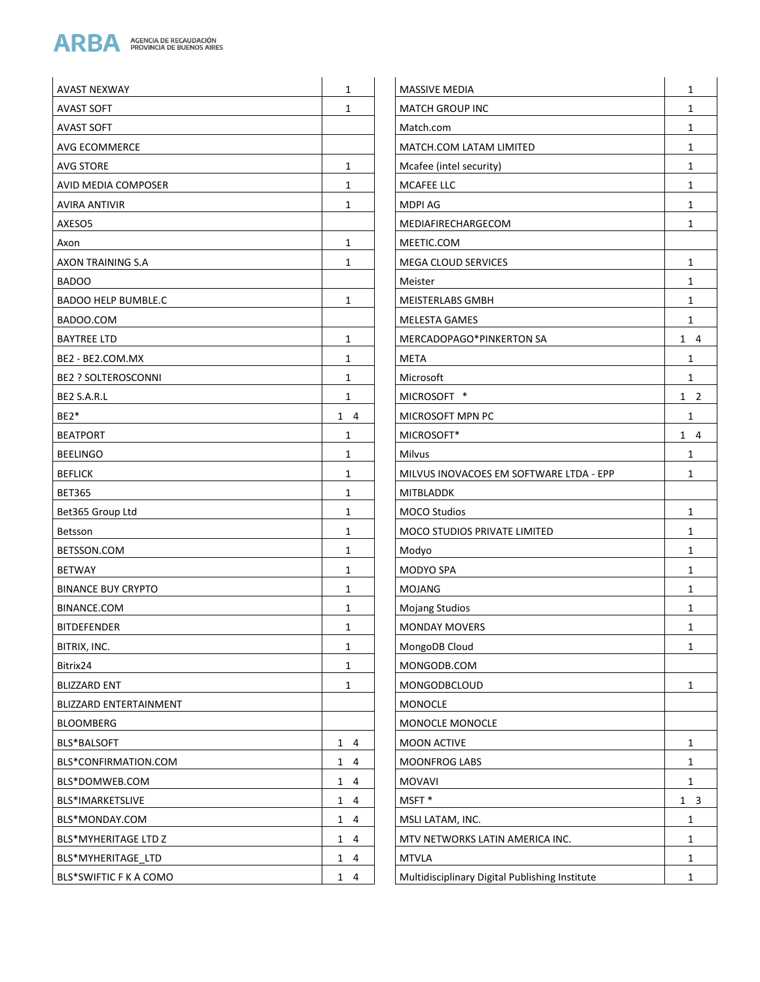

| <b>AVAST NEXWAY</b>        | 1            | <b>MASSIVE MEDIA</b>                           | $\mathbf{1}$ |
|----------------------------|--------------|------------------------------------------------|--------------|
| <b>AVAST SOFT</b>          | $\mathbf{1}$ | <b>MATCH GROUP INC</b>                         | $\mathbf{1}$ |
| <b>AVAST SOFT</b>          |              | Match.com                                      | $\mathbf{1}$ |
| AVG ECOMMERCE              |              | MATCH.COM LATAM LIMITED                        | 1            |
| <b>AVG STORE</b>           | $\mathbf{1}$ | Mcafee (intel security)                        | $\mathbf{1}$ |
| AVID MEDIA COMPOSER        | 1            | MCAFEE LLC                                     | $\mathbf{1}$ |
| AVIRA ANTIVIR              | $\mathbf{1}$ | <b>MDPI AG</b>                                 | $\mathbf{1}$ |
| AXESO5                     |              | MEDIAFIRECHARGECOM                             | $\mathbf{1}$ |
| Axon                       | 1            | MEETIC.COM                                     |              |
| AXON TRAINING S.A          | 1            | MEGA CLOUD SERVICES                            | $\mathbf{1}$ |
| <b>BADOO</b>               |              | Meister                                        | $\mathbf{1}$ |
| <b>BADOO HELP BUMBLE.C</b> | 1            | MEISTERLABS GMBH                               | $\mathbf{1}$ |
| BADOO.COM                  |              | <b>MELESTA GAMES</b>                           | 1            |
| <b>BAYTREE LTD</b>         | $\mathbf{1}$ | MERCADOPAGO*PINKERTON SA                       | $1 \quad 4$  |
| BE2 - BE2.COM.MX           | $\mathbf{1}$ | <b>META</b>                                    | 1            |
| <b>BE2 ? SOLTEROSCONNI</b> | $\mathbf{1}$ | Microsoft                                      | $\mathbf{1}$ |
| BE2 S.A.R.L                | $\mathbf{1}$ | MICROSOFT *                                    | $1\quad 2$   |
| BE2*                       | $1 \quad 4$  | MICROSOFT MPN PC                               | 1            |
| <b>BEATPORT</b>            | $\mathbf{1}$ | MICROSOFT*                                     | $1 \quad 4$  |
| <b>BEELINGO</b>            | 1            | Milvus                                         | $\mathbf{1}$ |
| <b>BEFLICK</b>             | $\mathbf{1}$ | MILVUS INOVACOES EM SOFTWARE LTDA - EPP        | $\mathbf{1}$ |
| <b>BET365</b>              | $\mathbf{1}$ | <b>MITBLADDK</b>                               |              |
| Bet365 Group Ltd           | $\mathbf{1}$ | <b>MOCO Studios</b>                            | $\mathbf{1}$ |
| Betsson                    | 1            | MOCO STUDIOS PRIVATE LIMITED                   | $\mathbf{1}$ |
| BETSSON.COM                | 1            | Modyo                                          | 1            |
| <b>BETWAY</b>              | $\mathbf{1}$ | MODYO SPA                                      | $\mathbf{1}$ |
| <b>BINANCE BUY CRYPTO</b>  | 1            | <b>MOJANG</b>                                  | $\mathbf{1}$ |
| BINANCE.COM                | 1            | <b>Mojang Studios</b>                          | $\mathbf{1}$ |
| <b>BITDEFENDER</b>         | 1            | <b>MONDAY MOVERS</b>                           | $\mathbf{1}$ |
| BITRIX, INC.               | $\mathbf{1}$ | MongoDB Cloud                                  | 1            |
| Bitrix24                   | $\mathbf{1}$ | MONGODB.COM                                    |              |
| <b>BLIZZARD ENT</b>        | $\mathbf{1}$ | MONGODBCLOUD                                   | $\mathbf{1}$ |
| BLIZZARD ENTERTAINMENT     |              | <b>MONOCLE</b>                                 |              |
| BLOOMBERG                  |              | MONOCLE MONOCLE                                |              |
| BLS*BALSOFT                | $1 \quad 4$  | <b>MOON ACTIVE</b>                             | $\mathbf{1}$ |
| BLS*CONFIRMATION.COM       | $1 \quad 4$  | MOONFROG LABS                                  | $\mathbf{1}$ |
| BLS*DOMWEB.COM             | $1 \quad 4$  | <b>MOVAVI</b>                                  | $\mathbf{1}$ |
| BLS*IMARKETSLIVE           | $1 \quad 4$  | MSFT*                                          | $1 \quad 3$  |
| BLS*MONDAY.COM             | $1 \quad 4$  | MSLI LATAM, INC.                               | $\mathbf{1}$ |
| BLS*MYHERITAGE LTD Z       | $1 \quad 4$  | MTV NETWORKS LATIN AMERICA INC.                | $\mathbf{1}$ |
| BLS*MYHERITAGE_LTD         | $1 \quad 4$  | <b>MTVLA</b>                                   | $\mathbf{1}$ |
| BLS*SWIFTIC F K A COMO     | $1 \quad 4$  | Multidisciplinary Digital Publishing Institute | $\mathbf{1}$ |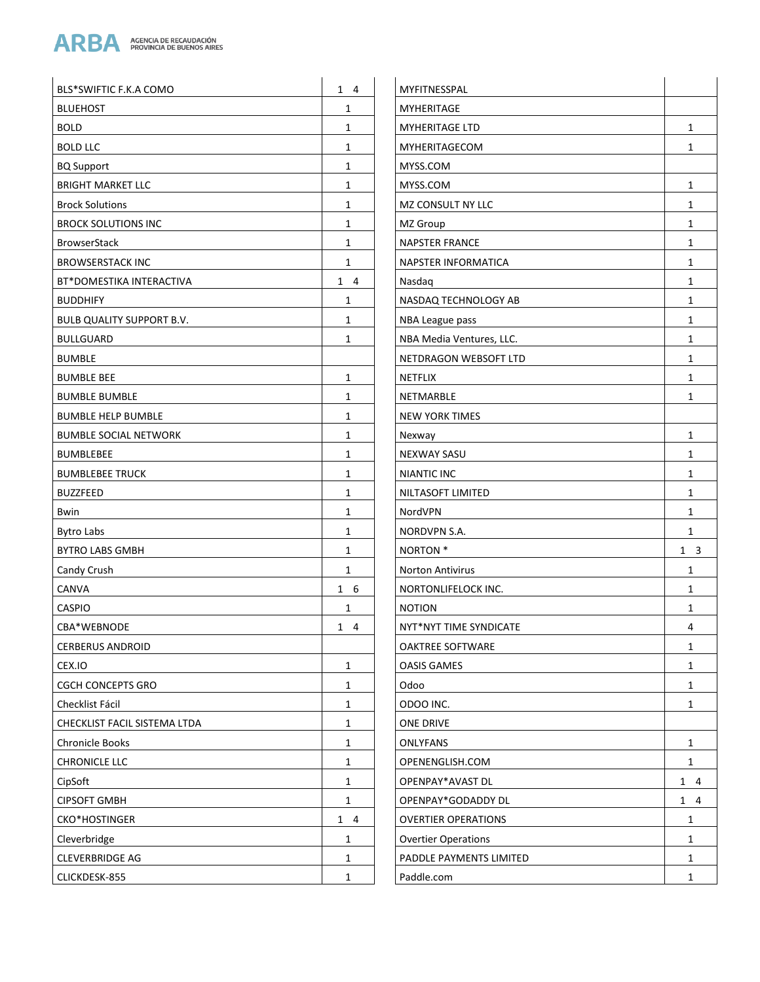

| BLS*SWIFTIC F.K.A COMO           | $1 \quad 4$  | MYFITNESSPAL               |              |
|----------------------------------|--------------|----------------------------|--------------|
| <b>BLUEHOST</b>                  | $\mathbf{1}$ | MYHERITAGE                 |              |
| <b>BOLD</b>                      | $\mathbf{1}$ | <b>MYHERITAGE LTD</b>      | $\mathbf{1}$ |
| <b>BOLD LLC</b>                  | $1\,$        | MYHERITAGECOM              | 1            |
| <b>BQ Support</b>                | $\mathbf{1}$ | MYSS.COM                   |              |
| <b>BRIGHT MARKET LLC</b>         | $\mathbf{1}$ | MYSS.COM                   | 1            |
| <b>Brock Solutions</b>           | $\mathbf{1}$ | MZ CONSULT NY LLC          | $\mathbf{1}$ |
| <b>BROCK SOLUTIONS INC</b>       | $\mathbf{1}$ | MZ Group                   | $\mathbf{1}$ |
| <b>BrowserStack</b>              | $\mathbf{1}$ | NAPSTER FRANCE             | $\mathbf{1}$ |
| <b>BROWSERSTACK INC</b>          | $\mathbf{1}$ | NAPSTER INFORMATICA        | $\mathbf{1}$ |
| BT*DOMESTIKA INTERACTIVA         | $1 \quad 4$  | Nasdag                     | 1            |
| <b>BUDDHIFY</b>                  | $\mathbf{1}$ | NASDAQ TECHNOLOGY AB       | $\mathbf{1}$ |
| <b>BULB QUALITY SUPPORT B.V.</b> | $\mathbf{1}$ | NBA League pass            | $\mathbf{1}$ |
| <b>BULLGUARD</b>                 | $\mathbf{1}$ | NBA Media Ventures, LLC.   | $\mathbf{1}$ |
| <b>BUMBLE</b>                    |              | NETDRAGON WEBSOFT LTD      | $\mathbf{1}$ |
| <b>BUMBLE BEE</b>                | $\mathbf{1}$ | NETFLIX                    | $\mathbf{1}$ |
| <b>BUMBLE BUMBLE</b>             | $\mathbf{1}$ | NETMARBLE                  | $\mathbf{1}$ |
| <b>BUMBLE HELP BUMBLE</b>        | $\mathbf{1}$ | <b>NEW YORK TIMES</b>      |              |
| <b>BUMBLE SOCIAL NETWORK</b>     | $\mathbf{1}$ | Nexway                     | 1            |
| <b>BUMBLEBEE</b>                 | $\mathbf{1}$ | <b>NEXWAY SASU</b>         | $\mathbf{1}$ |
| <b>BUMBLEBEE TRUCK</b>           | $\mathbf{1}$ | <b>NIANTIC INC</b>         | $\mathbf{1}$ |
| <b>BUZZFEED</b>                  | $\mathbf{1}$ | NILTASOFT LIMITED          | $\mathbf{1}$ |
| Bwin                             | $\mathbf{1}$ | NordVPN                    | $\mathbf{1}$ |
| <b>Bytro Labs</b>                | $\mathbf{1}$ | NORDVPN S.A.               | $\mathbf{1}$ |
| <b>BYTRO LABS GMBH</b>           | $\mathbf{1}$ | NORTON <sup>*</sup>        | $1 \quad 3$  |
| Candy Crush                      | $\mathbf{1}$ | <b>Norton Antivirus</b>    | 1            |
| CANVA                            | $1\quad 6$   | NORTONLIFELOCK INC.        | $\mathbf{1}$ |
| <b>CASPIO</b>                    | 1            | <b>NOTION</b>              | 1            |
| CBA*WEBNODE                      | $1 \quad 4$  | NYT*NYT TIME SYNDICATE     | 4            |
| <b>CERBERUS ANDROID</b>          |              | OAKTREE SOFTWARE           | 1            |
| CEX.IO                           | $\mathbf{1}$ | <b>OASIS GAMES</b>         | $\mathbf{1}$ |
| <b>CGCH CONCEPTS GRO</b>         | $\mathbf{1}$ | Odoo                       | $\mathbf{1}$ |
| Checklist Fácil                  | $\mathbf{1}$ | ODOO INC.                  | $\mathbf{1}$ |
| CHECKLIST FACIL SISTEMA LTDA     | $\mathbf{1}$ | ONE DRIVE                  |              |
| <b>Chronicle Books</b>           | $\mathbf{1}$ | <b>ONLYFANS</b>            | $\mathbf{1}$ |
| <b>CHRONICLE LLC</b>             | $\mathbf{1}$ | OPENENGLISH.COM            | $\mathbf{1}$ |
| CipSoft                          | 1            | OPENPAY*AVAST DL           | $1 \quad 4$  |
| <b>CIPSOFT GMBH</b>              | $\mathbf{1}$ | OPENPAY*GODADDY DL         | $1 \quad 4$  |
| CKO*HOSTINGER                    | $1 \quad 4$  | <b>OVERTIER OPERATIONS</b> | $\mathbf{1}$ |
| Cleverbridge                     | $\mathbf{1}$ | <b>Overtier Operations</b> | 1            |
| <b>CLEVERBRIDGE AG</b>           | $\mathbf{1}$ | PADDLE PAYMENTS LIMITED    | $\mathbf{1}$ |
| CLICKDESK-855                    | $\mathbf{1}$ | Paddle.com                 | 1            |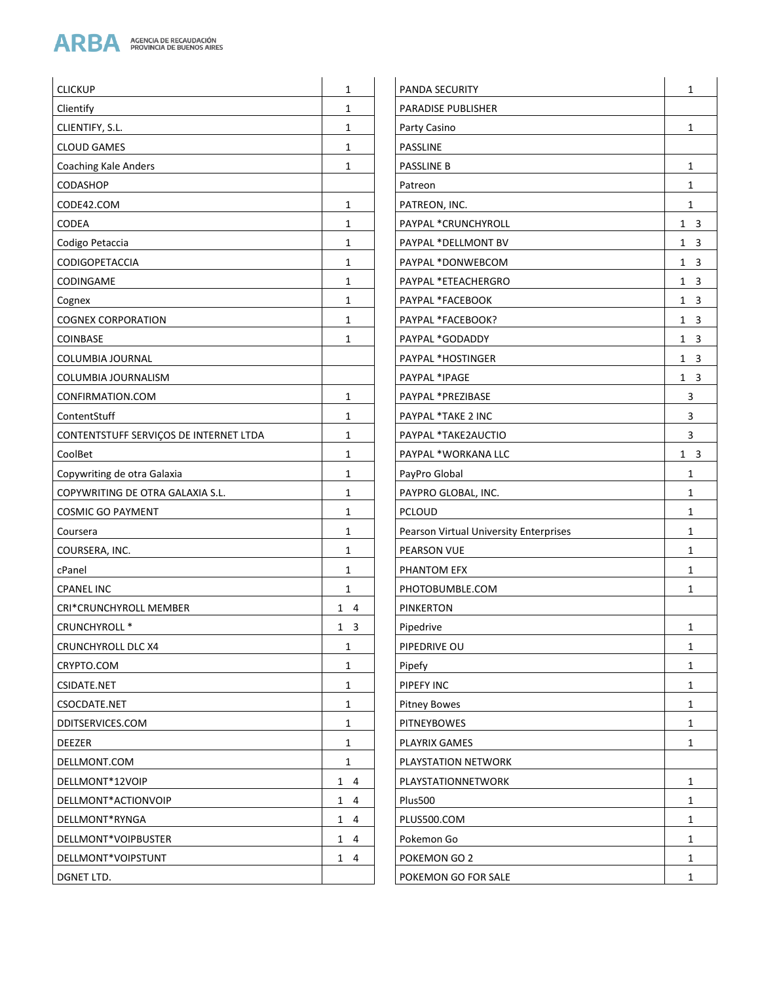

| <b>CLICKUP</b>                         | $\mathbf{1}$ | <b>PANDA SECURITY</b>                  | 1            |
|----------------------------------------|--------------|----------------------------------------|--------------|
| Clientify                              | $\mathbf{1}$ | PARADISE PUBLISHER                     |              |
| CLIENTIFY, S.L.                        | $\mathbf{1}$ | Party Casino                           | 1            |
| <b>CLOUD GAMES</b>                     | $\mathbf{1}$ | PASSLINE                               |              |
| <b>Coaching Kale Anders</b>            | $\mathbf{1}$ | PASSLINE B                             | $\mathbf{1}$ |
| CODASHOP                               |              | Patreon                                | 1            |
| CODE42.COM                             | $\mathbf{1}$ | PATREON, INC.                          | 1            |
| CODEA                                  | $\mathbf{1}$ | PAYPAL *CRUNCHYROLL                    | $1 \quad 3$  |
| Codigo Petaccia                        | $\mathbf{1}$ | PAYPAL *DELLMONT BV                    | $1 \quad 3$  |
| <b>CODIGOPETACCIA</b>                  | $\mathbf{1}$ | PAYPAL *DONWEBCOM                      | $1 \quad 3$  |
| CODINGAME                              | $\mathbf{1}$ | PAYPAL *ETEACHERGRO                    | $1 \quad 3$  |
| Cognex                                 | $\mathbf{1}$ | PAYPAL *FACEBOOK                       | $1 \quad 3$  |
| <b>COGNEX CORPORATION</b>              | $\mathbf{1}$ | PAYPAL *FACEBOOK?                      | $1 \quad 3$  |
| <b>COINBASE</b>                        | $\mathbf{1}$ | PAYPAL *GODADDY                        | $1 \quad 3$  |
| COLUMBIA JOURNAL                       |              | PAYPAL *HOSTINGER                      | $1 \quad 3$  |
| COLUMBIA JOURNALISM                    |              | PAYPAL *IPAGE                          | $1 \quad 3$  |
| CONFIRMATION.COM                       | $\mathbf{1}$ | PAYPAL *PREZIBASE                      | 3            |
| ContentStuff                           | $\mathbf{1}$ | PAYPAL *TAKE 2 INC                     | 3            |
| CONTENTSTUFF SERVIÇOS DE INTERNET LTDA | $\mathbf{1}$ | PAYPAL *TAKE2AUCTIO                    | 3            |
| CoolBet                                | $\mathbf{1}$ | PAYPAL *WORKANA LLC                    | $1 \quad 3$  |
| Copywriting de otra Galaxia            | $\mathbf{1}$ | PayPro Global                          | 1            |
| COPYWRITING DE OTRA GALAXIA S.L.       | $\mathbf{1}$ | PAYPRO GLOBAL, INC.                    | 1            |
| <b>COSMIC GO PAYMENT</b>               | $\mathbf{1}$ | <b>PCLOUD</b>                          | $\mathbf{1}$ |
| Coursera                               | $\mathbf{1}$ | Pearson Virtual University Enterprises | $\mathbf{1}$ |
| COURSERA, INC.                         | $\mathbf{1}$ | PEARSON VUE                            | 1            |
| cPanel                                 | $\mathbf{1}$ | PHANTOM EFX                            | $\mathbf{1}$ |
| <b>CPANEL INC</b>                      | $\mathbf{1}$ | PHOTOBUMBLE.COM                        | 1            |
| CRI*CRUNCHYROLL MEMBER                 | $1 \quad 4$  | <b>PINKERTON</b>                       |              |
| CRUNCHYROLL *                          | $1 \quad 3$  | Pipedrive                              | $\mathbf{1}$ |
| <b>CRUNCHYROLL DLC X4</b>              | $\mathbf{1}$ | PIPEDRIVE OU                           | 1            |
| CRYPTO.COM                             | $\mathbf{1}$ | Pipefy                                 | 1            |
| CSIDATE.NET                            | $\mathbf{1}$ | PIPEFY INC                             | 1            |
| CSOCDATE.NET                           | 1            | <b>Pitney Bowes</b>                    | 1            |
| DDITSERVICES.COM                       | $\mathbf{1}$ | <b>PITNEYBOWES</b>                     | 1            |
| <b>DEEZER</b>                          | $\mathbf{1}$ | PLAYRIX GAMES                          | $\mathbf{1}$ |
| DELLMONT.COM                           | $\mathbf{1}$ | PLAYSTATION NETWORK                    |              |
| DELLMONT*12VOIP                        | $1 \quad 4$  | PLAYSTATIONNETWORK                     | 1            |
| DELLMONT*ACTIONVOIP                    | $1 \quad 4$  | Plus500                                | 1            |
| DELLMONT*RYNGA                         | $1 \quad 4$  | PLUS500.COM                            | 1            |
| DELLMONT*VOIPBUSTER                    | $1 \quad 4$  | Pokemon Go                             | 1            |
| DELLMONT*VOIPSTUNT                     | $1 \quad 4$  | POKEMON GO 2                           | $\mathbf{1}$ |
| DGNET LTD.                             |              | POKEMON GO FOR SALE                    | 1            |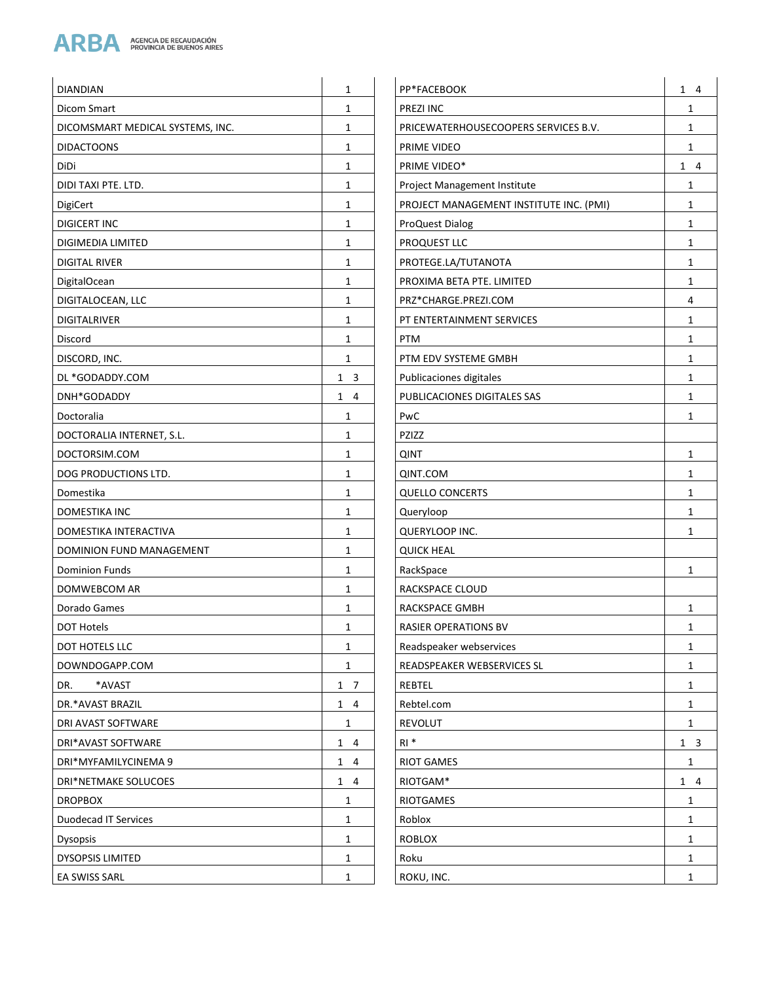

| DIANDIAN                         | 1                                       | PP*FACEBOOK                 |
|----------------------------------|-----------------------------------------|-----------------------------|
| Dicom Smart                      | 1                                       | PREZI INC                   |
| DICOMSMART MEDICAL SYSTEMS, INC. | 1                                       | PRICEWATERHOUSECOOPER       |
| <b>DIDACTOONS</b>                | 1                                       | PRIME VIDEO                 |
| DiDi                             | 1                                       | PRIME VIDEO*                |
| DIDI TAXI PTE. LTD.              | 1                                       | Project Management Institut |
| DigiCert                         | 1                                       | PROJECT MANAGEMENT INS      |
| DIGICERT INC                     | 1                                       | <b>ProQuest Dialog</b>      |
| DIGIMEDIA LIMITED                | 1                                       | PROQUEST LLC                |
| <b>DIGITAL RIVER</b>             | 1                                       | PROTEGE.LA/TUTANOTA         |
| <b>DigitalOcean</b>              | 1                                       | PROXIMA BETA PTE. LIMITED   |
| DIGITALOCEAN, LLC                | 1                                       | PRZ*CHARGE.PREZI.COM        |
| DIGITALRIVER                     | 1                                       | PT ENTERTAINMENT SERVICI    |
| Discord                          | 1                                       | <b>PTM</b>                  |
| DISCORD, INC.                    | 1                                       | PTM EDV SYSTEME GMBH        |
| DL *GODADDY.COM                  | $\mathbf{1}$<br>$\overline{\mathbf{3}}$ | Publicaciones digitales     |
| DNH*GODADDY                      | $\mathbf{1}$<br>$\overline{4}$          | PUBLICACIONES DIGITALES S   |
| Doctoralia                       | 1                                       | PwC                         |
| DOCTORALIA INTERNET, S.L.        | 1                                       | PZIZZ                       |
| DOCTORSIM.COM                    | 1                                       | <b>QINT</b>                 |
| DOG PRODUCTIONS LTD.             | 1                                       | QINT.COM                    |
| Domestika                        | 1                                       | <b>QUELLO CONCERTS</b>      |
| DOMESTIKA INC                    | 1                                       | Queryloop                   |
| DOMESTIKA INTERACTIVA            | 1                                       | QUERYLOOP INC.              |
| DOMINION FUND MANAGEMENT         | 1                                       | <b>QUICK HEAL</b>           |
| <b>Dominion Funds</b>            | 1                                       | RackSpace                   |
| DOMWEBCOM AR                     | 1                                       | RACKSPACE CLOUD             |
| Dorado Games                     | 1                                       | RACKSPACE GMBH              |
| DOT Hotels                       | 1                                       | RASIER OPERATIONS BV        |
| <b>DOT HOTELS LLC</b>            | 1                                       | Readspeaker webservices     |
| DOWNDOGAPP.COM                   | 1                                       | READSPEAKER WEBSERVICES     |
| *AVAST<br>DR.                    | $\mathbf{1}$<br>- 7                     | REBTEL                      |
| DR.*AVAST BRAZIL                 | $1 \quad 4$                             | Rebtel.com                  |
| DRI AVAST SOFTWARE               | 1                                       | REVOLUT                     |
| DRI*AVAST SOFTWARE               | $1 \quad 4$                             | $RI^*$                      |
| DRI*MYFAMILYCINEMA 9             | $\mathbf{1}$<br>4                       | <b>RIOT GAMES</b>           |
| DRI*NETMAKE SOLUCOES             | $\mathbf{1}$<br>4                       | RIOTGAM*                    |
| <b>DROPBOX</b>                   | 1                                       | <b>RIOTGAMES</b>            |
| <b>Duodecad IT Services</b>      | 1                                       | Roblox                      |
| <b>Dysopsis</b>                  | 1                                       | <b>ROBLOX</b>               |
| DYSOPSIS LIMITED                 | 1                                       | Roku                        |
| EA SWISS SARL                    | 1                                       | ROKU, INC.                  |

| P*FACEBOOK                             | 1<br>4 |
|----------------------------------------|--------|
| <b>REZI INC</b>                        | 1      |
| PRICEWATERHOUSECOOPERS SERVICES B.V.   | 1      |
| <b>RIME VIDEO</b>                      | 1      |
| RIME VIDEO*                            | 1<br>4 |
| roject Management Institute            | 1      |
| ROJECT MANAGEMENT INSTITUTE INC. (PMI) | 1      |
| <b>ProQuest Dialog</b>                 | 1      |
| <b>ROQUEST LLC</b>                     | 1      |
| PROTEGE.LA/TUTANOTA                    | 1      |
| PROXIMA BETA PTE. LIMITED              | 1      |
| RZ*CHARGE.PREZI.COM                    | 4      |
| T ENTERTAINMENT SERVICES               | 1      |
| ٥TΜ                                    | 1      |
| TM EDV SYSTEME GMBH                    | 1      |
| ublicaciones digitales                 | 1      |
| <b>UBLICACIONES DIGITALES SAS</b>      | 1      |
| 'wC                                    | 1      |
| 21ZZ                                   |        |
| דאוג                                   | 1      |
| NO.COM(                                | 1      |
| QUELLO CONCERTS                        | 1      |
| <b>Queryloop</b>                       | 1      |
| QUERYLOOP INC.                         | 1      |
| JUICK HEAL                             |        |
| ackSpace}                              | 1      |
| RACKSPACE CLOUD                        |        |
| RACKSPACE GMBH                         | 1      |
| RASIER OPERATIONS BV                   | 1      |
| Readspeaker webservices                | 1      |
| READSPEAKER WEBSERVICES SL             | 1      |
| REBTEL                                 | 1      |
| ebtel.com                              | 1      |
| <b>REVOLUT</b>                         | 1      |
| १। *                                   | 13     |
| RIOT GAMES                             | 1      |
| <b>NOTGAM*</b>                         | 1<br>4 |
| <b>IOTGAMES</b>                        | 1      |
|                                        |        |
| ≀oblox                                 | 1      |
| <b>OBLOX</b>                           | 1      |
| oku?                                   | 1      |
| ROKU, INC.                             | 1      |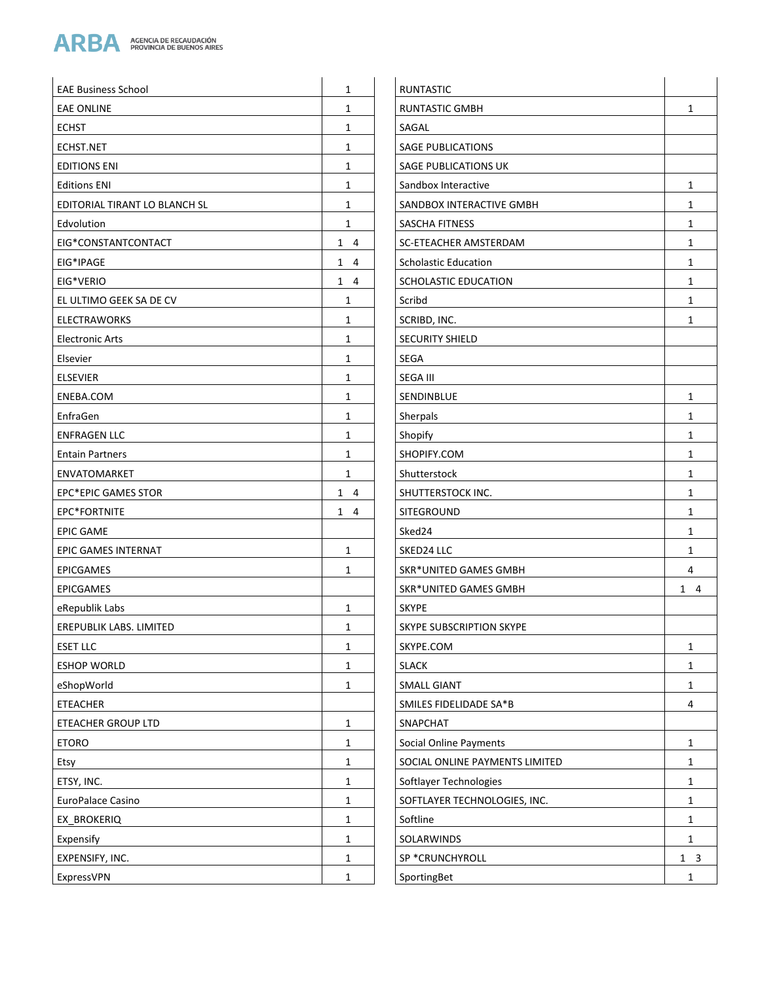

| <b>EAE Business School</b>    | $\mathbf{1}$ | <b>RUNTASTIC</b>               |                |
|-------------------------------|--------------|--------------------------------|----------------|
| <b>EAE ONLINE</b>             | 1            | <b>RUNTASTIC GMBH</b>          | $\mathbf{1}$   |
| <b>ECHST</b>                  | $\mathbf{1}$ | SAGAL                          |                |
| ECHST.NET                     | $\mathbf{1}$ | <b>SAGE PUBLICATIONS</b>       |                |
| <b>EDITIONS ENI</b>           | $\mathbf{1}$ | SAGE PUBLICATIONS UK           |                |
| <b>Editions ENI</b>           | $\mathbf{1}$ | Sandbox Interactive            | $\mathbf{1}$   |
| EDITORIAL TIRANT LO BLANCH SL | $\mathbf{1}$ | SANDBOX INTERACTIVE GMBH       | $\mathbf{1}$   |
| Edvolution                    | $\mathbf{1}$ | SASCHA FITNESS                 | $\mathbf{1}$   |
| EIG*CONSTANTCONTACT           | $1 \quad 4$  | SC-ETEACHER AMSTERDAM          | $\mathbf{1}$   |
| EIG*IPAGE                     | $1 \quad 4$  | <b>Scholastic Education</b>    | $\mathbf{1}$   |
| EIG*VERIO                     | $1 \quad 4$  | SCHOLASTIC EDUCATION           | 1              |
| EL ULTIMO GEEK SA DE CV       | $\mathbf{1}$ | Scribd                         | 1              |
| <b>ELECTRAWORKS</b>           | $\mathbf{1}$ | SCRIBD, INC.                   | $\mathbf{1}$   |
| <b>Electronic Arts</b>        | 1            | <b>SECURITY SHIELD</b>         |                |
| Elsevier                      | 1            | <b>SEGA</b>                    |                |
| <b>ELSEVIER</b>               | 1            | <b>SEGA III</b>                |                |
| ENEBA.COM                     | $\mathbf{1}$ | SENDINBLUE                     | $\mathbf{1}$   |
| EnfraGen                      | $\mathbf{1}$ | Sherpals                       | $\mathbf{1}$   |
| <b>ENFRAGEN LLC</b>           | $\mathbf{1}$ | Shopify                        | $\mathbf{1}$   |
| <b>Entain Partners</b>        | 1            | SHOPIFY.COM                    | $\mathbf{1}$   |
| <b>ENVATOMARKET</b>           | 1            | Shutterstock                   | 1              |
| <b>EPC*EPIC GAMES STOR</b>    | $1 \quad 4$  | SHUTTERSTOCK INC.              | $\mathbf{1}$   |
| EPC*FORTNITE                  | $1 \quad 4$  | <b>SITEGROUND</b>              | $\mathbf{1}$   |
| <b>EPIC GAME</b>              |              | Sked24                         | $\mathbf{1}$   |
| EPIC GAMES INTERNAT           | $\mathbf{1}$ | SKED24 LLC                     | 1              |
| <b>EPICGAMES</b>              | 1            | SKR*UNITED GAMES GMBH          | 4              |
| <b>EPICGAMES</b>              |              | <b>SKR*UNITED GAMES GMBH</b>   | $1 \quad 4$    |
| eRepublik Labs                | 1            | <b>SKYPE</b>                   |                |
| EREPUBLIK LABS. LIMITED       | 1            | SKYPE SUBSCRIPTION SKYPE       |                |
| <b>ESET LLC</b>               | $\mathbf{1}$ | SKYPE.COM                      | $\mathbf{1}$   |
| <b>ESHOP WORLD</b>            | $\mathbf{1}$ | <b>SLACK</b>                   | $\mathbf{1}$   |
| eShopWorld                    | $\mathbf{1}$ | <b>SMALL GIANT</b>             | $\mathbf{1}$   |
| <b>ETEACHER</b>               |              | SMILES FIDELIDADE SA*B         | $\overline{4}$ |
| <b>ETEACHER GROUP LTD</b>     | $\mathbf{1}$ | SNAPCHAT                       |                |
| <b>ETORO</b>                  | $\mathbf{1}$ | <b>Social Online Payments</b>  | $\mathbf{1}$   |
| Etsy                          | $\mathbf{1}$ | SOCIAL ONLINE PAYMENTS LIMITED | $\mathbf{1}$   |
| ETSY, INC.                    | $\mathbf{1}$ | Softlayer Technologies         | $\mathbf{1}$   |
| EuroPalace Casino             | $\mathbf{1}$ | SOFTLAYER TECHNOLOGIES, INC.   | $\mathbf{1}$   |
| EX_BROKERIQ                   | $\mathbf{1}$ | Softline                       | $\mathbf{1}$   |
| Expensify                     | $\mathbf{1}$ | SOLARWINDS                     | $\mathbf{1}$   |
| EXPENSIFY, INC.               | $\mathbf 1$  | SP *CRUNCHYROLL                | $1 \quad 3$    |
| ExpressVPN                    | $\mathbf{1}$ | SportingBet                    | $\mathbf{1}$   |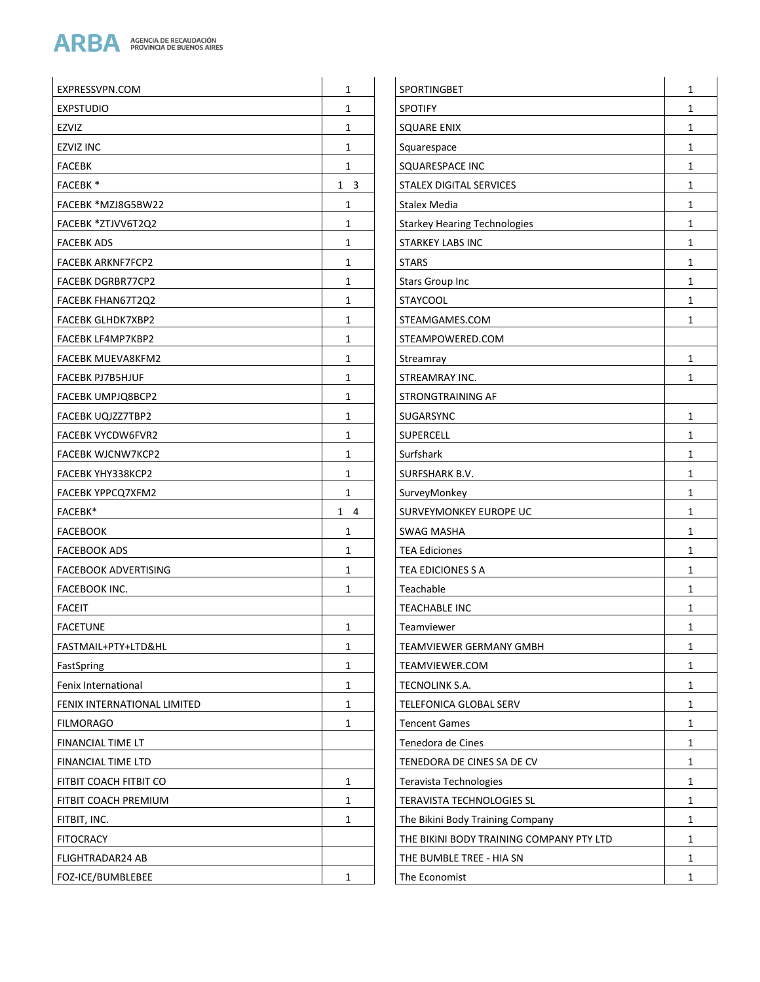

| EXPRESSVPN.COM              | $\mathbf{1}$ | SPORTINGBET                              | 1            |
|-----------------------------|--------------|------------------------------------------|--------------|
| <b>EXPSTUDIO</b>            | $\mathbf{1}$ | <b>SPOTIFY</b>                           | 1            |
| EZVIZ                       | 1            | <b>SQUARE ENIX</b>                       | 1            |
| <b>EZVIZ INC</b>            | $\mathbf{1}$ | Squarespace                              | 1            |
| <b>FACEBK</b>               | $\mathbf{1}$ | SQUARESPACE INC                          | $\mathbf{1}$ |
| <b>FACEBK*</b>              | $1 \quad 3$  | STALEX DIGITAL SERVICES                  | $\mathbf{1}$ |
| FACEBK *MZJ8G5BW22          | $\mathbf{1}$ | Stalex Media                             | $\mathbf{1}$ |
| FACEBK *ZTJVV6T2Q2          | $\mathbf{1}$ | <b>Starkey Hearing Technologies</b>      | $\mathbf{1}$ |
| <b>FACEBK ADS</b>           | $\mathbf{1}$ | <b>STARKEY LABS INC</b>                  | 1            |
| <b>FACEBK ARKNF7FCP2</b>    | $\mathbf{1}$ | <b>STARS</b>                             | 1            |
| <b>FACEBK DGRBR77CP2</b>    | 1            | Stars Group Inc                          | 1            |
| FACEBK FHAN67T2Q2           | $\mathbf{1}$ | <b>STAYCOOL</b>                          | $\mathbf{1}$ |
| FACEBK GLHDK7XBP2           | $\mathbf{1}$ | STEAMGAMES.COM                           | $\mathbf{1}$ |
| FACEBK LF4MP7KBP2           | $\mathbf{1}$ | STEAMPOWERED.COM                         |              |
| <b>FACEBK MUEVA8KFM2</b>    | 1            | Streamray                                | 1            |
| <b>FACEBK PJ7B5HJUF</b>     | $\mathbf{1}$ | STREAMRAY INC.                           | 1            |
| FACEBK UMPJQ8BCP2           | $\mathbf{1}$ | STRONGTRAINING AF                        |              |
| FACEBK UQJZZ7TBP2           | $\mathbf{1}$ | SUGARSYNC                                | $\mathbf{1}$ |
| <b>FACEBK VYCDW6FVR2</b>    | $\mathbf{1}$ | <b>SUPERCELL</b>                         | $\mathbf{1}$ |
| <b>FACEBK WJCNW7KCP2</b>    | $\mathbf{1}$ | Surfshark                                | $\mathbf{1}$ |
| FACEBK YHY338KCP2           | $\mathbf{1}$ | SURFSHARK B.V.                           | 1            |
| FACEBK YPPCQ7XFM2           | $\mathbf{1}$ | SurveyMonkey                             | $\mathbf{1}$ |
| FACEBK*                     | $1 \quad 4$  | SURVEYMONKEY EUROPE UC                   | $\mathbf{1}$ |
| <b>FACEBOOK</b>             | $\mathbf{1}$ | <b>SWAG MASHA</b>                        | $\mathbf{1}$ |
| <b>FACEBOOK ADS</b>         | $\mathbf{1}$ | <b>TEA Ediciones</b>                     | $\mathbf{1}$ |
| <b>FACEBOOK ADVERTISING</b> | $\mathbf{1}$ | TEA EDICIONES S A                        | $\mathbf{1}$ |
| <b>FACEBOOK INC.</b>        | $\mathbf{1}$ | Teachable                                | 1            |
| <b>FACEIT</b>               |              | <b>TEACHABLE INC</b>                     | 1            |
| <b>FACETUNE</b>             | $\mathbf{1}$ | Teamviewer                               | $\mathbf{1}$ |
| FASTMAIL+PTY+LTD&HL         | 1            | TEAMVIEWER GERMANY GMBH                  | 1            |
| FastSpring                  | $\mathbf{1}$ | TEAMVIEWER.COM                           | 1            |
| Fenix International         | 1            | TECNOLINK S.A.                           | $\mathbf{1}$ |
| FENIX INTERNATIONAL LIMITED | $\mathbf{1}$ | TELEFONICA GLOBAL SERV                   | 1            |
| <b>FILMORAGO</b>            | $\mathbf{1}$ | <b>Tencent Games</b>                     | 1            |
| FINANCIAL TIME LT           |              | Tenedora de Cines                        | 1            |
| FINANCIAL TIME LTD          |              | TENEDORA DE CINES SA DE CV               | $\mathbf{1}$ |
| FITBIT COACH FITBIT CO      | $\mathbf{1}$ | Teravista Technologies                   | 1            |
| FITBIT COACH PREMIUM        | 1            | TERAVISTA TECHNOLOGIES SL                | 1            |
| FITBIT, INC.                | $\mathbf{1}$ | The Bikini Body Training Company         | $\mathbf{1}$ |
| <b>FITOCRACY</b>            |              | THE BIKINI BODY TRAINING COMPANY PTY LTD | 1            |
| <b>FLIGHTRADAR24 AB</b>     |              | THE BUMBLE TREE - HIA SN                 | 1            |
| FOZ-ICE/BUMBLEBEE           | 1            | The Economist                            | $\mathbf{1}$ |
|                             |              |                                          |              |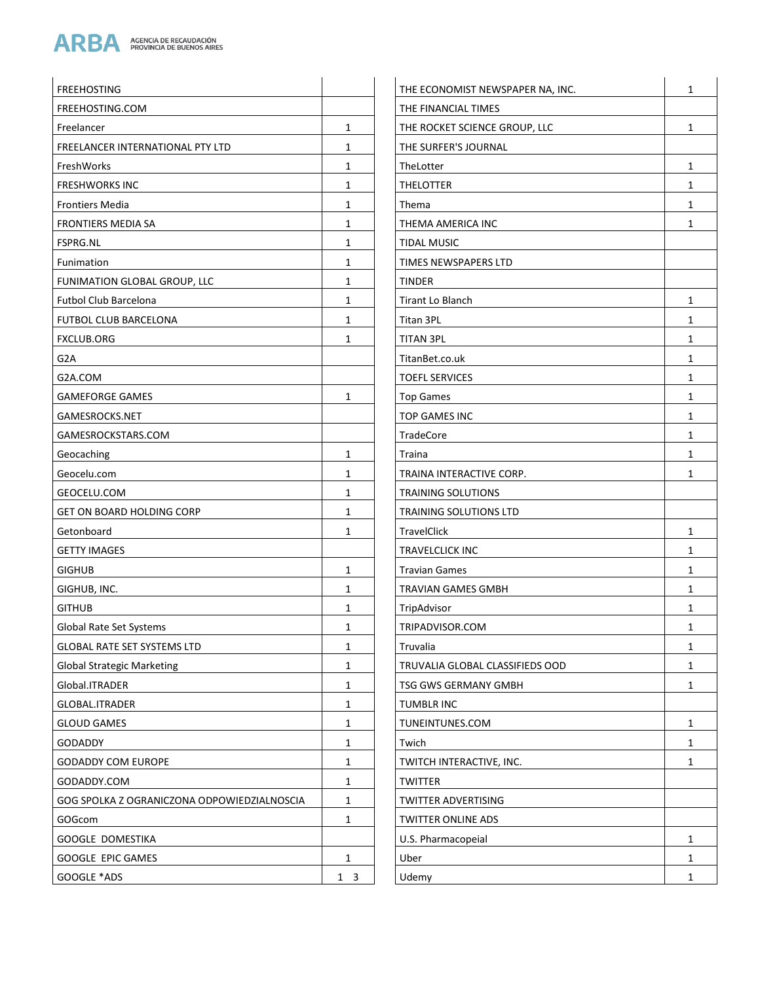

| <b>FREEHOSTING</b>                          |              | THE ECONOMIST NEWSPAPER NA, INC. | 1              |
|---------------------------------------------|--------------|----------------------------------|----------------|
| FREEHOSTING.COM                             |              | THE FINANCIAL TIMES              |                |
| Freelancer                                  | 1            | THE ROCKET SCIENCE GROUP, LLC    | $\mathbf{1}$   |
| FREELANCER INTERNATIONAL PTY LTD            | $\mathbf{1}$ | THE SURFER'S JOURNAL             |                |
| FreshWorks                                  | $\mathbf{1}$ | TheLotter                        | $\mathbf{1}$   |
| <b>FRESHWORKS INC</b>                       | 1            | <b>THELOTTER</b>                 | $\mathbf{1}$   |
| <b>Frontiers Media</b>                      | $\mathbf{1}$ | Thema                            | $\mathbf{1}$   |
| <b>FRONTIERS MEDIA SA</b>                   | $\mathbf{1}$ | THEMA AMERICA INC                | $\mathbf{1}$   |
| <b>FSPRG.NL</b>                             | 1            | <b>TIDAL MUSIC</b>               |                |
| Funimation                                  | $\mathbf{1}$ | TIMES NEWSPAPERS LTD             |                |
| FUNIMATION GLOBAL GROUP, LLC                | $\mathbf{1}$ | <b>TINDER</b>                    |                |
| <b>Futbol Club Barcelona</b>                | 1            | Tirant Lo Blanch                 | $\mathbf{1}$   |
| <b>FUTBOL CLUB BARCELONA</b>                | $\mathbf{1}$ | Titan 3PL                        | $\mathbf{1}$   |
| <b>FXCLUB.ORG</b>                           | $\mathbf{1}$ | <b>TITAN 3PL</b>                 | $\mathbf{1}$   |
| G <sub>2</sub> A                            |              | TitanBet.co.uk                   | $\mathbf{1}$   |
| G2A.COM                                     |              | <b>TOEFL SERVICES</b>            | $\mathbf{1}$   |
| <b>GAMEFORGE GAMES</b>                      | $\mathbf{1}$ | <b>Top Games</b>                 | $\mathbf{1}$   |
| GAMESROCKS.NET                              |              | <b>TOP GAMES INC</b>             | $\mathbf{1}$   |
| GAMESROCKSTARS.COM                          |              | <b>TradeCore</b>                 | $\mathbf{1}$   |
| Geocaching                                  | 1            | Traina                           | $\mathbf{1}$   |
| Geocelu.com                                 | $\mathbf{1}$ | TRAINA INTERACTIVE CORP.         | $\mathbf{1}$   |
| GEOCELU.COM                                 | 1            | <b>TRAINING SOLUTIONS</b>        |                |
| <b>GET ON BOARD HOLDING CORP</b>            | 1            | TRAINING SOLUTIONS LTD           |                |
| Getonboard                                  | 1            | <b>TravelClick</b>               | $\mathbf 1$    |
| <b>GETTY IMAGES</b>                         |              | <b>TRAVELCLICK INC</b>           | $\mathbf{1}$   |
| <b>GIGHUB</b>                               | $\mathbf{1}$ | <b>Travian Games</b>             | $\mathbf{1}$   |
| GIGHUB, INC.                                | 1            | <b>TRAVIAN GAMES GMBH</b>        | $\mathbf{1}$   |
| <b>GITHUB</b>                               | 1            | TripAdvisor                      | $\mathbf{1}$   |
| Global Rate Set Systems                     | 1            | TRIPADVISOR.COM                  | $\overline{1}$ |
| <b>GLOBAL RATE SET SYSTEMS LTD</b>          | 1            | Truvalia                         | $\mathbf{1}$   |
| <b>Global Strategic Marketing</b>           | $\mathbf{1}$ | TRUVALIA GLOBAL CLASSIFIEDS OOD  | $\mathbf{1}$   |
| Global.ITRADER                              | $\mathbf{1}$ | TSG GWS GERMANY GMBH             | $\mathbf{1}$   |
| GLOBAL.ITRADER                              | $\mathbf{1}$ | <b>TUMBLR INC</b>                |                |
| <b>GLOUD GAMES</b>                          | $\mathbf{1}$ | TUNEINTUNES.COM                  | $\mathbf{1}$   |
| GODADDY                                     | 1            | Twich                            | $\mathbf{1}$   |
| <b>GODADDY COM EUROPE</b>                   | 1            | TWITCH INTERACTIVE, INC.         | $\mathbf{1}$   |
| GODADDY.COM                                 | 1            | <b>TWITTER</b>                   |                |
| GOG SPOLKA Z OGRANICZONA ODPOWIEDZIALNOSCIA | $\mathbf{1}$ | TWITTER ADVERTISING              |                |
| GOGcom                                      | $\mathbf{1}$ | <b>TWITTER ONLINE ADS</b>        |                |
| GOOGLE DOMESTIKA                            |              | U.S. Pharmacopeial               | $\mathbf{1}$   |
| GOOGLE EPIC GAMES                           | $\mathbf{1}$ | Uber                             | $\mathbf{1}$   |
| GOOGLE *ADS                                 | $1 \quad 3$  | Udemy                            | $\mathbf{1}$   |
|                                             |              |                                  |                |

| HE ECONOMIST NEWSPAPER NA, INC. | 1 |
|---------------------------------|---|
| <b>HE FINANCIAL TIMES</b>       |   |
| HE ROCKET SCIENCE GROUP, LLC    | 1 |
| HE SURFER'S JOURNAL             |   |
| heLotter                        | 1 |
| <b>HELOTTER</b>                 | 1 |
| hema <sup>.</sup>               | 1 |
| HEMA AMERICA INC                | 1 |
| <b>IDAL MUSIC</b>               |   |
| <b>IMES NEWSPAPERS LTD</b>      |   |
| <b>INDER</b>                    |   |
| irant Lo Blanch                 | 1 |
| itan 3PL                        | 1 |
| <b>ITAN 3PL</b>                 | 1 |
| itanBet.co.uk                   | 1 |
| <b>OEFL SERVICES</b>            | 1 |
| op Games                        | 1 |
| OP GAMES INC                    | 1 |
| <sup>-</sup> radeCore           | 1 |
| raina                           | 1 |
| RAINA INTERACTIVE CORP.         | 1 |
| <b>RAINING SOLUTIONS</b>        |   |
| <b>RAINING SOLUTIONS LTD</b>    |   |
| ravelClick                      | 1 |
| RAVELCLICK INC                  | 1 |
| ravian Games                    | 1 |
| RAVIAN GAMES GMBH               | 1 |
| ripAdvisor                      | 1 |
| RIPADVISOR.COM                  | 1 |
| ruvalia                         | 1 |
| RUVALIA GLOBAL CLASSIFIEDS OOD  | 1 |
| <b>SG GWS GERMANY GMBH</b>      | 1 |
| <b>UMBLR INC</b>                |   |
| UNEINTUNES.COM                  | 1 |
| wich                            | 1 |
| WITCH INTERACTIVE, INC.         | 1 |
| WITTER                          |   |
| WITTER ADVERTISING              |   |
| <b>WITTER ONLINE ADS</b>        |   |
| J.S. Pharmacopeial              | 1 |
| Jber                            | 1 |
| Jdemy                           | 1 |
|                                 |   |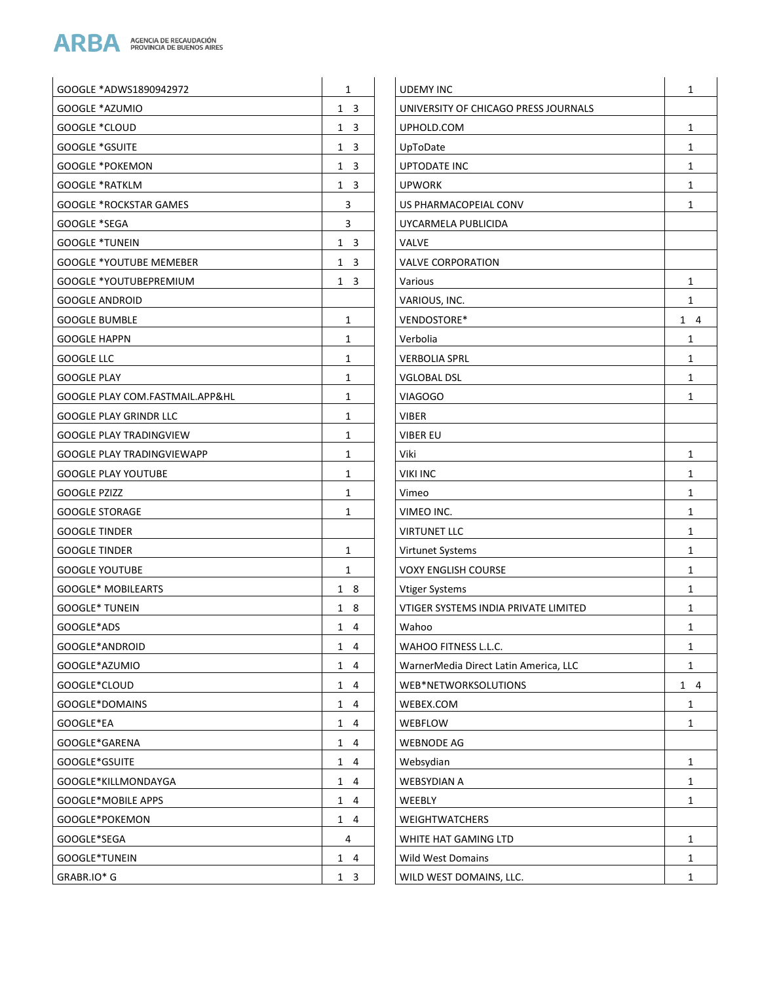

| GOOGLE *ADWS1890942972            | 1                 | <b>UDEMY IN</b>    |
|-----------------------------------|-------------------|--------------------|
| GOOGLE *AZUMIO                    | 1<br>3            | <b>UNIVERSIT</b>   |
| GOOGLE *CLOUD                     | 3<br>1            | UPHOLD.C           |
| <b>GOOGLE *GSUITE</b>             | 3<br>1            | UpToDate           |
| <b>GOOGLE *POKEMON</b>            | 3<br>1            | <b>UPTODATE</b>    |
| <b>GOOGLE *RATKLM</b>             | $\mathbf{1}$<br>3 | UPWORK             |
| <b>GOOGLE *ROCKSTAR GAMES</b>     | 3                 | <b>US PHARM</b>    |
| GOOGLE *SEGA                      | 3                 | UYCARMEI           |
| <b>GOOGLE *TUNEIN</b>             | 1 3               | <b>VALVE</b>       |
| <b>GOOGLE *YOUTUBE MEMEBER</b>    | 1<br>3            | <b>VALVE COF</b>   |
| GOOGLE *YOUTUBEPREMIUM            | 3<br>1            | Various            |
| <b>GOOGLE ANDROID</b>             |                   | VARIOUS, I         |
| <b>GOOGLE BUMBLE</b>              | 1                 | <b>VENDOSTC</b>    |
| <b>GOOGLE HAPPN</b>               | 1                 | Verbolia           |
| GOOGLE LLC                        | 1                 | <b>VERBOLIA</b>    |
| <b>GOOGLE PLAY</b>                | 1                 | <b>VGLOBAL I</b>   |
| GOOGLE PLAY COM.FASTMAIL.APP&HL   | 1                 | <b>VIAGOGO</b>     |
| <b>GOOGLE PLAY GRINDR LLC</b>     | 1                 | <b>VIBER</b>       |
| <b>GOOGLE PLAY TRADINGVIEW</b>    | 1                 | VIBER EU           |
| <b>GOOGLE PLAY TRADINGVIEWAPP</b> | 1                 | Viki               |
| <b>GOOGLE PLAY YOUTUBE</b>        | 1                 | VIKI INC           |
| GOOGLE PZIZZ                      | 1                 | Vimeo              |
| <b>GOOGLE STORAGE</b>             | 1                 | VIMEO INC          |
| <b>GOOGLE TINDER</b>              |                   | <b>VIRTUNET</b>    |
| <b>GOOGLE TINDER</b>              | 1                 | Virtunet Sy        |
| <b>GOOGLE YOUTUBE</b>             | 1                 | <b>VOXY ENGI</b>   |
| <b>GOOGLE* MOBILEARTS</b>         | 1<br>8            | <b>Vtiger Syst</b> |
| <b>GOOGLE* TUNEIN</b>             | 1<br>8            | <b>VTIGER SYS</b>  |
| GOOGLE*ADS                        | $1 \quad 4$       | Wahoo              |
| GOOGLE*ANDROID                    | 1<br>4            | <b>WAHOO FI</b>    |
| GOOGLE*AZUMIO                     | 1<br>4            | WarnerMe           |
| GOOGLE*CLOUD                      | 1<br>4            | WEB*NET\           |
| GOOGLE*DOMAINS                    | 1<br>4            | WEBEX.CO           |
| GOOGLE*EA                         | 1<br>4            | WEBFLOW            |
| GOOGLE*GARENA                     | $\mathbf{1}$<br>4 | <b>WEBNODE</b>     |
| GOOGLE*GSUITE                     | 1<br>4            | Websydian          |
| GOOGLE*KILLMONDAYGA               | 1<br>4            | WEBSYDIA           |
| GOOGLE*MOBILE APPS                | 1<br>4            | WEEBLY             |
| GOOGLE*POKEMON                    | 1<br>4            | WEIGHTW.           |
| GOOGLE*SEGA                       | 4                 | WHITE HAT          |
| GOOGLE*TUNEIN                     | 1<br>4            | Wild West          |
| GRABR.IO* G                       | 1<br>3            | WILD WES           |
|                                   |                   |                    |

| <b>UDEMY INC</b>                      | 1      |
|---------------------------------------|--------|
| UNIVERSITY OF CHICAGO PRESS JOURNALS  |        |
| UPHOLD.COM                            | 1      |
| UpToDate                              | 1      |
| UPTODATE INC                          | 1      |
| <b>UPWORK</b>                         | 1      |
| US PHARMACOPEIAL CONV                 | 1      |
| UYCARMELA PUBLICIDA                   |        |
| VALVE                                 |        |
| <b>VALVE CORPORATION</b>              |        |
| Various                               | 1      |
| VARIOUS, INC.                         | 1      |
| VENDOSTORE*                           | 1<br>4 |
| Verbolia                              | 1      |
| <b>VERBOLIA SPRL</b>                  | 1      |
| VGLOBAL DSL                           | 1      |
| <b>VIAGOGO</b>                        | 1      |
| VIBER                                 |        |
| VIBER EU                              |        |
| Viki                                  | 1      |
| <b>VIKI INC</b>                       | 1      |
| Vimeo                                 | 1      |
| VIMEO INC.                            | 1      |
| <b>VIRTUNET LLC</b>                   | 1      |
| Virtunet Systems                      | 1      |
| <b>VOXY ENGLISH COURSE</b>            | 1      |
| <b>Vtiger Systems</b>                 | 1      |
| VTIGER SYSTEMS INDIA PRIVATE LIMITED  | 1      |
| Wahoo                                 | 1      |
| WAHOO FITNESS L.L.C.                  | 1      |
| WarnerMedia Direct Latin America, LLC | 1      |
| WEB*NETWORKSOLUTIONS                  | 1<br>4 |
| WEBEX.COM                             | 1      |
| WEBFLOW                               | 1      |
| <b>WEBNODE AG</b>                     |        |
| Websydian                             | 1      |
| WEBSYDIAN A                           | 1      |
| WEEBLY                                | 1      |
| WEIGHTWATCHERS                        |        |
| WHITE HAT GAMING LTD                  | 1      |
| <b>Wild West Domains</b>              | 1      |
| WILD WEST DOMAINS, LLC.               | 1      |
|                                       |        |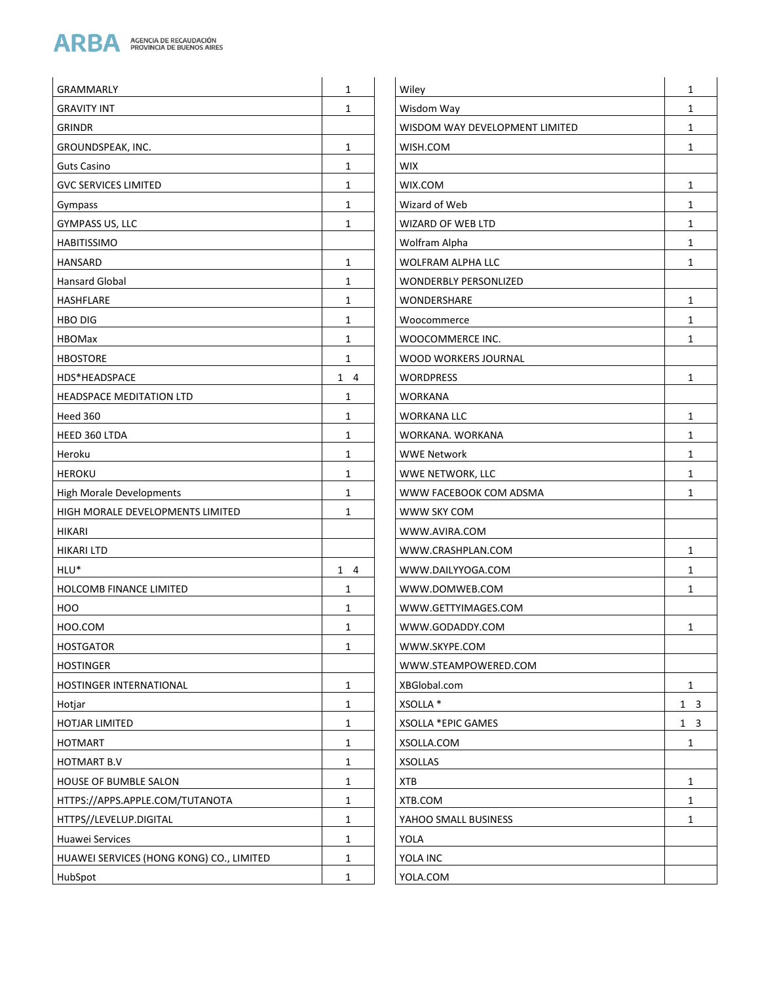

| <b>GRAMMARLY</b>                         | 1            | Wiley                          | $\mathbf{1}$ |
|------------------------------------------|--------------|--------------------------------|--------------|
| <b>GRAVITY INT</b>                       | 1            | Wisdom Way                     | 1            |
| <b>GRINDR</b>                            |              | WISDOM WAY DEVELOPMENT LIMITED | $\mathbf{1}$ |
| GROUNDSPEAK, INC.                        | $\mathbf{1}$ | WISH.COM                       | $\mathbf{1}$ |
| <b>Guts Casino</b>                       | 1            | <b>WIX</b>                     |              |
| <b>GVC SERVICES LIMITED</b>              | $\mathbf{1}$ | WIX.COM                        | $\mathbf{1}$ |
| Gympass                                  | $\mathbf{1}$ | Wizard of Web                  | 1            |
| GYMPASS US, LLC                          | 1            | WIZARD OF WEB LTD              | 1            |
| <b>HABITISSIMO</b>                       |              | Wolfram Alpha                  | $\mathbf{1}$ |
| <b>HANSARD</b>                           | $\mathbf{1}$ | WOLFRAM ALPHA LLC              | $\mathbf{1}$ |
| <b>Hansard Global</b>                    | 1            | <b>WONDERBLY PERSONLIZED</b>   |              |
| HASHFLARE                                | $\mathbf{1}$ | WONDERSHARE                    | $\mathbf{1}$ |
| <b>HBO DIG</b>                           | $\mathbf{1}$ | Woocommerce                    | 1            |
| <b>HBOMax</b>                            | 1            | WOOCOMMERCE INC.               | 1            |
| <b>HBOSTORE</b>                          | 1            | WOOD WORKERS JOURNAL           |              |
| HDS*HEADSPACE                            | $1 \quad 4$  | <b>WORDPRESS</b>               | $\mathbf{1}$ |
| <b>HEADSPACE MEDITATION LTD</b>          | 1            | <b>WORKANA</b>                 |              |
| Heed 360                                 | $\mathbf{1}$ | <b>WORKANA LLC</b>             | $\mathbf{1}$ |
| HEED 360 LTDA                            | $\mathbf{1}$ | WORKANA, WORKANA               | $\mathbf{1}$ |
| Heroku                                   | $\mathbf{1}$ | <b>WWE Network</b>             | $\mathbf{1}$ |
| <b>HEROKU</b>                            | 1            | WWE NETWORK, LLC               | $\mathbf{1}$ |
| High Morale Developments                 | $\mathbf{1}$ | WWW FACEBOOK COM ADSMA         | $\mathbf{1}$ |
| HIGH MORALE DEVELOPMENTS LIMITED         | 1            | WWW SKY COM                    |              |
| <b>HIKARI</b>                            |              | WWW.AVIRA.COM                  |              |
| <b>HIKARI LTD</b>                        |              | WWW.CRASHPLAN.COM              | $\mathbf{1}$ |
| HLU*                                     | $1 \quad 4$  | WWW.DAILYYOGA.COM              | $\mathbf{1}$ |
| <b>HOLCOMB FINANCE LIMITED</b>           | 1            | WWW.DOMWEB.COM                 | 1            |
| HOO                                      | $\mathbf{1}$ | WWW.GETTYIMAGES.COM            |              |
| HOO.COM                                  | 1            | WWW.GODADDY.COM                | 1            |
| <b>HOSTGATOR</b>                         | $\mathbf{1}$ | WWW.SKYPE.COM                  |              |
| <b>HOSTINGER</b>                         |              | WWW.STEAMPOWERED.COM           |              |
| <b>HOSTINGER INTERNATIONAL</b>           | $\mathbf{1}$ | XBGlobal.com                   | $\mathbf{1}$ |
| Hotjar                                   | $\mathbf{1}$ | XSOLLA *                       | $1 \quad 3$  |
| HOTJAR LIMITED                           | $\mathbf{1}$ | XSOLLA *EPIC GAMES             | $1 \quad 3$  |
| HOTMART                                  | $\mathbf{1}$ | XSOLLA.COM                     | $\mathbf{1}$ |
| <b>HOTMART B.V</b>                       | $\mathbf{1}$ | <b>XSOLLAS</b>                 |              |
| <b>HOUSE OF BUMBLE SALON</b>             | $\mathbf{1}$ | <b>XTB</b>                     | $\mathbf{1}$ |
| HTTPS://APPS.APPLE.COM/TUTANOTA          | $\mathbf{1}$ | XTB.COM                        | $\mathbf{1}$ |
| HTTPS//LEVELUP.DIGITAL                   | $\mathbf{1}$ | YAHOO SMALL BUSINESS           | $\mathbf{1}$ |
| Huawei Services                          | $\mathbf{1}$ | YOLA                           |              |
| HUAWEI SERVICES (HONG KONG) CO., LIMITED | 1            | YOLA INC                       |              |
| HubSpot                                  | $\mathbf{1}$ | YOLA.COM                       |              |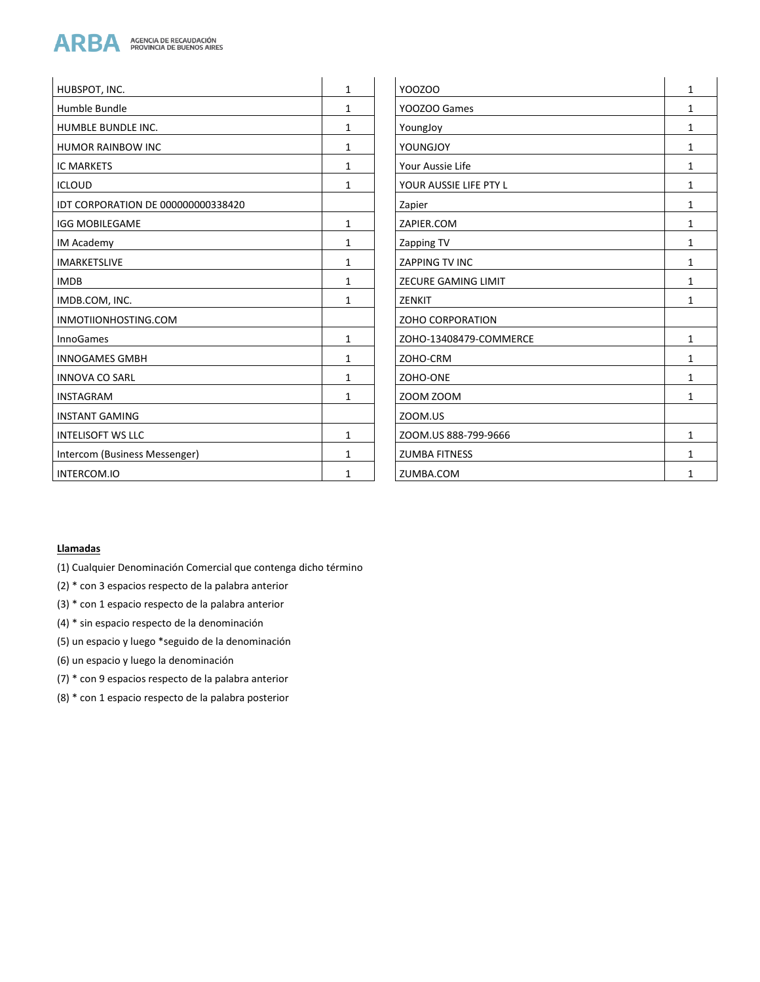

| HUBSPOT, INC.                      | 1            | YOOZOO                     | 1            |
|------------------------------------|--------------|----------------------------|--------------|
| Humble Bundle                      | 1            | YOOZOO Games               | $\mathbf{1}$ |
| <b>HUMBLE BUNDLE INC.</b>          | 1            | YoungJoy                   | 1            |
| <b>HUMOR RAINBOW INC</b>           | 1            | YOUNGJOY                   | 1            |
| <b>IC MARKETS</b>                  | 1            | Your Aussie Life           | 1            |
| <b>ICLOUD</b>                      | 1            | YOUR AUSSIE LIFE PTY L     | $\mathbf{1}$ |
| IDT CORPORATION DE 000000000338420 |              | Zapier                     | 1            |
| <b>IGG MOBILEGAME</b>              | 1            | ZAPIER.COM                 | 1            |
| <b>IM Academy</b>                  | 1            | Zapping TV                 | 1            |
| <b>IMARKETSLIVE</b>                | 1            | <b>ZAPPING TV INC</b>      | 1            |
| <b>IMDB</b>                        | 1            | <b>ZECURE GAMING LIMIT</b> | 1            |
| IMDB.COM, INC.                     | $\mathbf{1}$ | ZENKIT                     | $\mathbf{1}$ |
| INMOTIIONHOSTING.COM               |              | <b>ZOHO CORPORATION</b>    |              |
| <b>InnoGames</b>                   | $\mathbf{1}$ | ZOHO-13408479-COMMERCE     | $\mathbf{1}$ |
| <b>INNOGAMES GMBH</b>              | 1            | ZOHO-CRM                   | 1            |
| <b>INNOVA CO SARL</b>              | 1            | ZOHO-ONE                   | 1            |
| <b>INSTAGRAM</b>                   | 1            | ZOOM ZOOM                  | 1            |
| <b>INSTANT GAMING</b>              |              | ZOOM.US                    |              |
| <b>INTELISOFT WS LLC</b>           | 1            | ZOOM.US 888-799-9666       | 1            |
| Intercom (Business Messenger)      | 1            | <b>ZUMBA FITNESS</b>       | 1            |
| INTERCOM.IO                        | 1            | ZUMBA.COM                  | 1            |

#### **Llamadas**

- (1) Cualquier Denominación Comercial que contenga dicho término
- (2) \* con 3 espacios respecto de la palabra anterior
- (3) \* con 1 espacio respecto de la palabra anterior
- (4) \* sin espacio respecto de la denominación
- (5) un espacio y luego \*seguido de la denominación
- (6) un espacio y luego la denominación
- (7) \* con 9 espacios respecto de la palabra anterior
- (8) \* con 1 espacio respecto de la palabra posterior